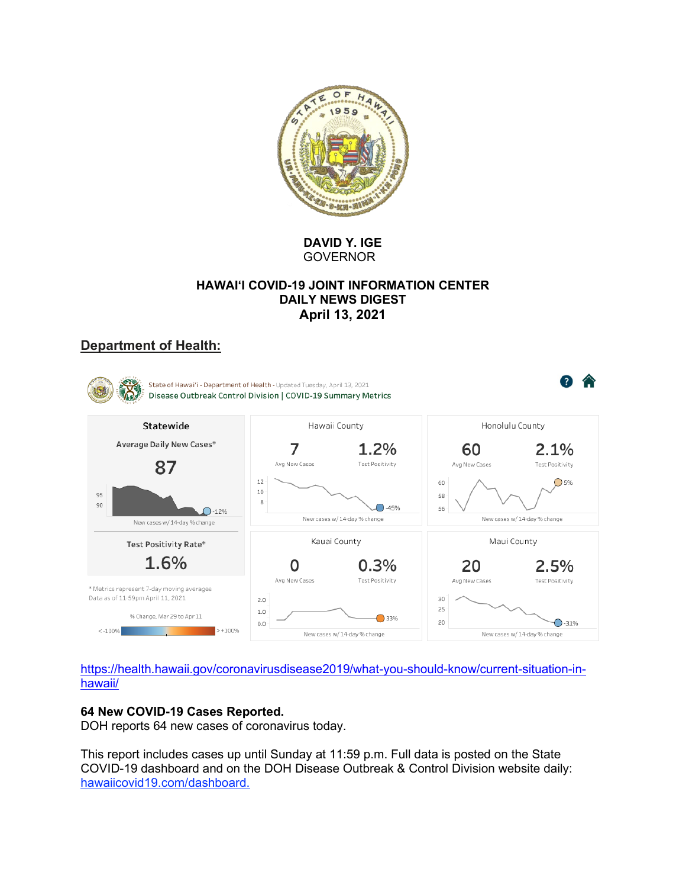

**DAVID Y. IGE GOVERNOR** 

## **HAWAI'I COVID-19 JOINT INFORMATION CENTER DAILY NEWS DIGEST April 13, 2021**

# **Department of Health:**



https://health.hawaii.gov/coronavirusdisease2019/what-you-should-know/current-situation-inhawaii/

## **64 New COVID-19 Cases Reported.**

DOH reports 64 new cases of coronavirus today.

This report includes cases up until Sunday at 11:59 p.m. Full data is posted on the State COVID-19 dashboard and on the DOH Disease Outbreak & Control Division website daily: hawaiicovid19.com/dashboard.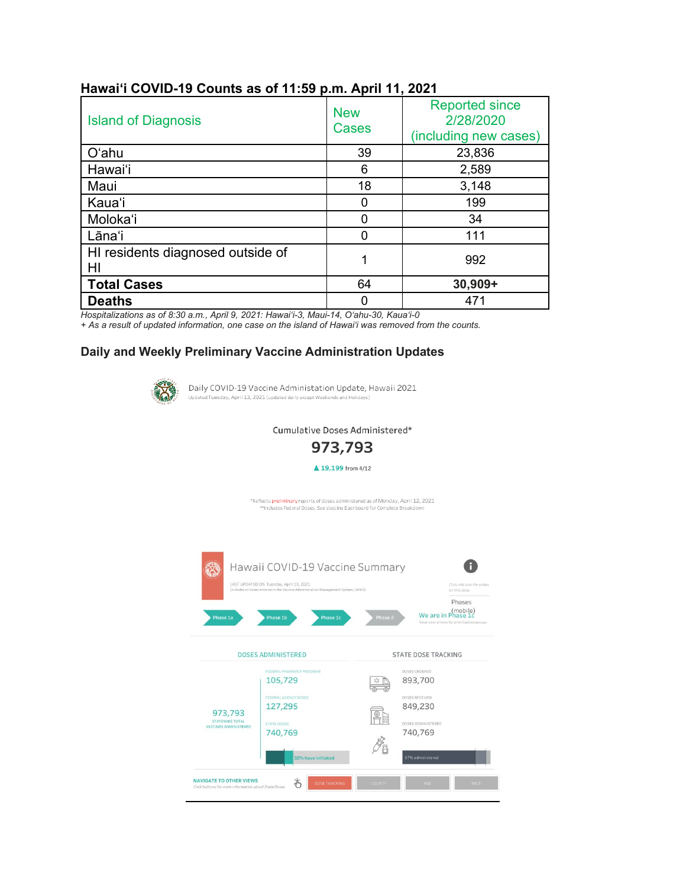| <b>Island of Diagnosis</b>              | <b>New</b><br>Cases | <b>Reported since</b><br>2/28/2020<br>(including new cases) |
|-----------------------------------------|---------------------|-------------------------------------------------------------|
| O'ahu                                   | 39                  | 23,836                                                      |
| Hawai'i                                 | 6                   | 2,589                                                       |
| Maui                                    | 18                  | 3,148                                                       |
| Kaua'i                                  | 0                   | 199                                                         |
| Moloka'i                                | ი                   | 34                                                          |
| Lāna'i                                  |                     | 111                                                         |
| HI residents diagnosed outside of<br>HI |                     | 992                                                         |
| <b>Total Cases</b>                      | 64                  | 30,909+                                                     |
| <b>Deaths</b>                           |                     | 471                                                         |

## **Hawai'i COVID-19 Counts as of 11:59 p.m. April 11, 2021**

*Hospitalizations as of 8:30 a.m., April 9, 2021: Hawai'i-3, Maui-14, O'ahu-30, Kaua'i-0*

*+ As a result of updated information, one case on the island of Hawaiʻi was removed from the counts.*

### **Daily and Weekly Preliminary Vaccine Administration Updates**



Daily COVID-19 Vaccine Administation Update, Hawaii 2021 Updated Tuesday, April 13, 2021 (updated daily except Weekends and Holidays)

Cumulative Doses Administered\*



▲ 19,199 from 4/12

\*Reflects preliminary reports of doses administered as of Monday, April 12, 2021 \*\*Includes Federal Doses. See Vaccine Dashboard for Complete Breakdov

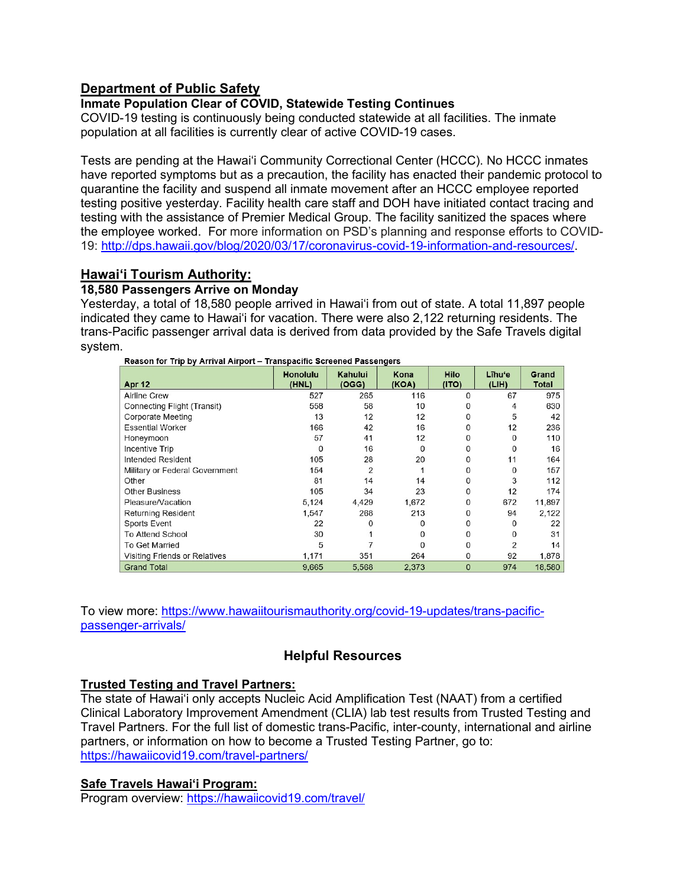## **Department of Public Safety**

## **Inmate Population Clear of COVID, Statewide Testing Continues**

COVID-19 testing is continuously being conducted statewide at all facilities. The inmate population at all facilities is currently clear of active COVID-19 cases.

Tests are pending at the Hawai'i Community Correctional Center (HCCC). No HCCC inmates have reported symptoms but as a precaution, the facility has enacted their pandemic protocol to quarantine the facility and suspend all inmate movement after an HCCC employee reported testing positive yesterday. Facility health care staff and DOH have initiated contact tracing and testing with the assistance of Premier Medical Group. The facility sanitized the spaces where the employee worked. For more information on PSD's planning and response efforts to COVID-19: [http://dps.hawaii.gov/blog/2020/03/17/coronavirus-covid-19-information-and-resources/.](http://dps.hawaii.gov/blog/2020/03/17/coronavirus-covid-19-information-and-resources/)

## **Hawaiʻi Tourism Authority:**

## **18,580 Passengers Arrive on Monday**

Yesterday, a total of 18,580 people arrived in Hawai'i from out of state. A total 11,897 people indicated they came to Hawai'i for vacation. There were also 2,122 returning residents. The trans-Pacific passenger arrival data is derived from data provided by the Safe Travels digital system.

| Apr 12                         | <b>Honolulu</b><br>(HNL) | Kahului<br>(OGG) | Kona<br>(KOA) | <b>Hilo</b><br>(1TO) | Lihu'e<br>(LIH) | <b>Grand</b><br>Total |
|--------------------------------|--------------------------|------------------|---------------|----------------------|-----------------|-----------------------|
| <b>Airline Crew</b>            | 527                      | 265              | 116           | 0                    | 67              | 975                   |
| Connecting Flight (Transit)    | 558                      | 58               | 10            | 0                    | 4               | 630                   |
| Corporate Meeting              | 13                       | 12               | 12            | 0                    | 5               | 42                    |
| <b>Essential Worker</b>        | 166                      | 42               | 16            | 0                    | 12              | 236                   |
| Honeymoon                      | 57                       | 41               | 12            | 0                    | 0               | 110                   |
| Incentive Trip                 | $\Omega$                 | 16               | O             | 0                    | 0               | 16                    |
| Intended Resident              | 105                      | 28               | 20            | 0                    | 11              | 164                   |
| Military or Federal Government | 154                      | 2                |               | 0                    | $\mathbf{0}$    | 157                   |
| Other                          | 81                       | 14               | 14            | 0                    | 3               | 112                   |
| <b>Other Business</b>          | 105                      | 34               | 23            | 0                    | 12              | 174                   |
| Pleasure/Vacation              | 5,124                    | 4,429            | 1,672         | 0                    | 672             | 11,897                |
| <b>Returning Resident</b>      | 1,547                    | 268              | 213           | 0                    | 94              | 2,122                 |
| <b>Sports Event</b>            | 22                       | 0                |               | 0                    | 0               | 22                    |
| To Attend School               | 30                       |                  | O             | 0                    | $\mathbf{0}$    | 31                    |
| <b>To Get Married</b>          | 5                        |                  |               | 0                    | $\overline{2}$  | 14                    |
| Visiting Friends or Relatives  | 1,171                    | 351              | 264           | 0                    | 92              | 1,878                 |
| <b>Grand Total</b>             | 9,665                    | 5,568            | 2,373         | $\mathbf 0$          | 974             | 18,580                |

Reason for Trip by Arrival Airport - Transpacific Screened Passengers

To view more: [https://www.hawaiitourismauthority.org/covid-19-updates/trans-pacific](https://www.hawaiitourismauthority.org/covid-19-updates/trans-pacific-passenger-arrivals/)[passenger-arrivals/](https://www.hawaiitourismauthority.org/covid-19-updates/trans-pacific-passenger-arrivals/)

## **Helpful Resources**

## **Trusted Testing and Travel Partners:**

The state of Hawai'i only accepts Nucleic Acid Amplification Test (NAAT) from a certified Clinical Laboratory Improvement Amendment (CLIA) lab test results from Trusted Testing and Travel Partners. For the full list of domestic trans-Pacific, inter-county, international and airline partners, or information on how to become a Trusted Testing Partner, go to: <https://hawaiicovid19.com/travel-partners/>

## **Safe Travels Hawai'i Program:**

Program overview: <https://hawaiicovid19.com/travel/>